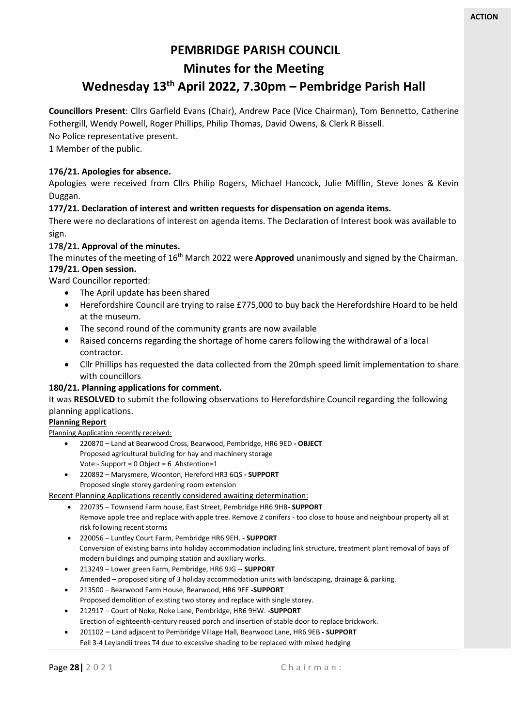# **PEMBRIDGE PARISH COUNCIL**

## **Minutes for the Meeting**

# **Wednesday 13 th April 2022, 7.30pm – Pembridge Parish Hall**

**Councillors Present**: Cllrs Garfield Evans (Chair), Andrew Pace (Vice Chairman), Tom Bennetto, Catherine Fothergill, Wendy Powell, Roger Phillips, Philip Thomas, David Owens, & Clerk R Bissell.

No Police representative present.

1 Member of the public.

## **176/21. Apologies for absence.**

Apologies were received from Cllrs Philip Rogers, Michael Hancock, Julie Mifflin, Steve Jones & Kevin Duggan.

## **177/21. Declaration of interest and written requests for dispensation on agenda items.**

There were no declarations of interest on agenda items. The Declaration of Interest book was available to sign.

## **178/21. Approval of the minutes.**

The minutes of the meeting of 16<sup>th</sup> March 2022 were **Approved** unanimously and signed by the Chairman.

# **179/21. Open session.**

- Ward Councillor reported:
	- The April update has been shared
	- Herefordshire Council are trying to raise £775,000 to buy back the Herefordshire Hoard to be held at the museum.
	- The second round of the community grants are now available
	- Raised concerns regarding the shortage of home carers following the withdrawal of a local contractor.
	- Cllr Phillips has requested the data collected from the 20mph speed limit implementation to share with councillors

## **180/21. Planning applications for comment.**

It was **RESOLVED** to submit the following observations to Herefordshire Council regarding the following planning applications.

## **Planning Report**

Planning Application recently received:

- 220870 Land at Bearwood Cross, Bearwood, Pembridge, HR6 9ED **- OBJECT** Proposed agricultural building for hay and machinery storage Vote:- Support = 0 Object = 6 Abstention=1
- 220892 Marysmere, Woonton, Hereford HR3 6QS **- SUPPORT** Proposed single storey gardening room extension

Recent Planning Applications recently considered awaiting determination:

- 220735 Townsend Farm house, East Street, Pembridge HR6 9HB**- SUPPORT** Remove apple tree and replace with apple tree. Remove 2 conifers - too close to house and neighbour property all at risk following recent storms
- 220056 Luntley Court Farm, Pembridge HR6 9EH. **- SUPPORT** Conversion of existing barns into holiday accommodation including link structure, treatment plant removal of bays of modern buildings and pumping station and auxiliary works.
- 213249 Lower green Farm, Pembridge, HR6 9JG -**- SUPPORT** Amended – proposed siting of 3 holiday accommodation units with landscaping, drainage & parking.
- 213500 Bearwood Farm House, Bearwood, HR6 9EE **-SUPPORT** Proposed demolition of existing two storey and replace with single storey. • 212917 – Court of Noke, Noke Lane, Pembridge, HR6 9HW. **-SUPPORT**
- Erection of eighteenth-century reused porch and insertion of stable door to replace brickwork.
- 201102 Land adjacent to Pembridge Village Hall, Bearwood Lane, HR6 9EB **- SUPPORT** Fell 3-4 Leylandii trees T4 due to excessive shading to be replaced with mixed hedging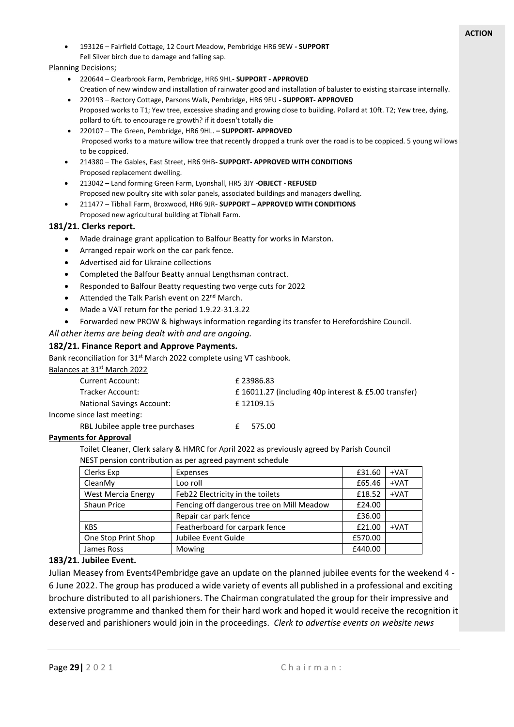• 193126 – Fairfield Cottage, 12 Court Meadow, Pembridge HR6 9EW **- SUPPORT** Fell Silver birch due to damage and falling sap.

#### Planning Decisions;

- 220644 Clearbrook Farm, Pembridge, HR6 9HL**- SUPPORT - APPROVED** Creation of new window and installation of rainwater good and installation of baluster to existing staircase internally.
- 220193 Rectory Cottage, Parsons Walk, Pembridge, HR6 9EU **- SUPPORT- APPROVED** Proposed works to T1; Yew tree, excessive shading and growing close to building. Pollard at 10ft. T2; Yew tree, dying, pollard to 6ft. to encourage re growth? if it doesn't totally die
- 220107 The Green, Pembridge, HR6 9HL. **– SUPPORT- APPROVED** Proposed works to a mature willow tree that recently dropped a trunk over the road is to be coppiced. 5 young willows to be coppiced.
- 214380 The Gables, East Street, HR6 9HB**- SUPPORT- APPROVED WITH CONDITIONS** Proposed replacement dwelling.
- 213042 Land forming Green Farm, Lyonshall, HR5 3JY **-OBJECT - REFUSED** Proposed new poultry site with solar panels, associated buildings and managers dwelling.
- 211477 Tibhall Farm, Broxwood, HR6 9JR- **SUPPORT – APPROVED WITH CONDITIONS** Proposed new agricultural building at Tibhall Farm.

#### **181/21. Clerks report.**

- Made drainage grant application to Balfour Beatty for works in Marston.
- Arranged repair work on the car park fence.
- Advertised aid for Ukraine collections
- Completed the Balfour Beatty annual Lengthsman contract.
- Responded to Balfour Beatty requesting two verge cuts for 2022
- Attended the Talk Parish event on 22<sup>nd</sup> March.
- Made a VAT return for the period 1.9.22-31.3.22
- Forwarded new PROW & highways information regarding its transfer to Herefordshire Council.

#### *All other items are being dealt with and are ongoing.*

#### **182/21. Finance Report and Approve Payments.**

Bank reconciliation for 31<sup>st</sup> March 2022 complete using VT cashbook.

#### Balances at 31st March 2022

| <b>Current Account:</b>          | £ 23986.83                                          |  |  |
|----------------------------------|-----------------------------------------------------|--|--|
| Tracker Account:                 | £16011.27 (including 40p interest & £5.00 transfer) |  |  |
| <b>National Savings Account:</b> | £12109.15                                           |  |  |
| Income since last meeting:       |                                                     |  |  |
| RBL Jubilee apple tree purchases | 575.00                                              |  |  |

#### **Payments for Approval**

Toilet Cleaner, Clerk salary & HMRC for April 2022 as previously agreed by Parish Council NEST pension contribution as per agreed payment schedule

| Clerks Exp                | Expenses                                  | £31.60  | $+VAT$ |
|---------------------------|-------------------------------------------|---------|--------|
| CleanMy                   | Loo roll                                  | £65.46  | $+VAT$ |
| <b>West Mercia Energy</b> | Feb22 Electricity in the toilets          | £18.52  | $+VAT$ |
| <b>Shaun Price</b>        | Fencing off dangerous tree on Mill Meadow | £24.00  |        |
|                           | Repair car park fence                     | £36.00  |        |
| <b>KBS</b>                | Featherboard for carpark fence            | £21.00  | $+VAT$ |
| One Stop Print Shop       | Jubilee Event Guide                       | £570.00 |        |
| James Ross                | Mowing                                    | £440.00 |        |

### **183/21. Jubilee Event.**

Julian Measey from Events4Pembridge gave an update on the planned jubilee events for the weekend 4 - 6 June 2022. The group has produced a wide variety of events all published in a professional and exciting brochure distributed to all parishioners. The Chairman congratulated the group for their impressive and extensive programme and thanked them for their hard work and hoped it would receive the recognition it deserved and parishioners would join in the proceedings. *Clerk to advertise events on website news*